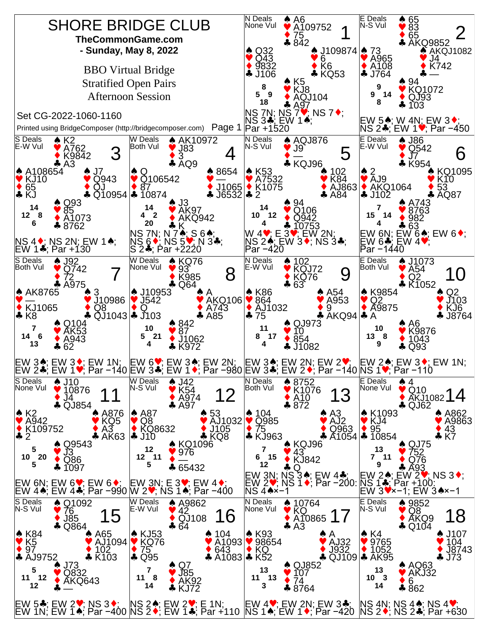